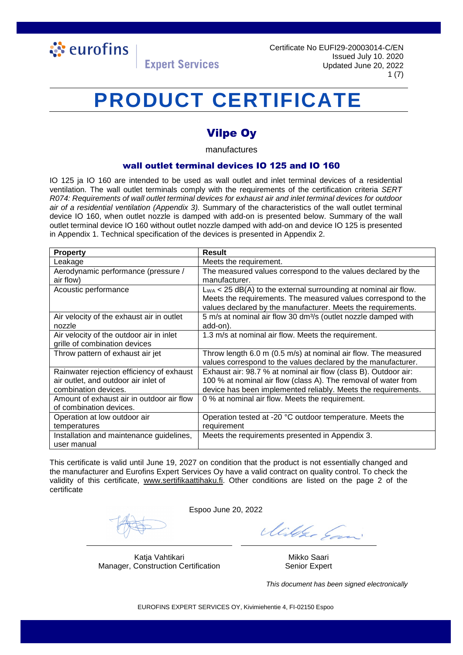

### **PRODUCT CERTIFICATE**

### Vilpe Oy

manufactures

#### wall outlet terminal devices IO 125 and IO 160

IO 125 ja IO 160 are intended to be used as wall outlet and inlet terminal devices of a residential ventilation. The wall outlet terminals comply with the requirements of the certification criteria *SERT R074: Requirements of wall outlet terminal devices for exhaust air and inlet terminal devices for outdoor air of a residential ventilation (Appendix 3).* Summary of the characteristics of the wall outlet terminal device IO 160, when outlet nozzle is damped with add-on is presented below. Summary of the wall outlet terminal device IO 160 without outlet nozzle damped with add-on and device IO 125 is presented in Appendix 1. Technical specification of the devices is presented in Appendix 2.

| <b>Property</b>                           | <b>Result</b>                                                              |  |
|-------------------------------------------|----------------------------------------------------------------------------|--|
| Leakage                                   | Meets the requirement.                                                     |  |
| Aerodynamic performance (pressure /       | The measured values correspond to the values declared by the               |  |
| air flow)                                 | manufacturer.                                                              |  |
| Acoustic performance                      | $L_{WA}$ < 25 dB(A) to the external surrounding at nominal air flow.       |  |
|                                           | Meets the requirements. The measured values correspond to the              |  |
|                                           | values declared by the manufacturer. Meets the requirements.               |  |
| Air velocity of the exhaust air in outlet | 5 m/s at nominal air flow 30 dm <sup>3</sup> /s (outlet nozzle damped with |  |
| nozzle                                    | add-on).                                                                   |  |
| Air velocity of the outdoor air in inlet  | 1.3 m/s at nominal air flow. Meets the requirement.                        |  |
| grille of combination devices             |                                                                            |  |
| Throw pattern of exhaust air jet          | Throw length 6.0 m (0.5 m/s) at nominal air flow. The measured             |  |
|                                           | values correspond to the values declared by the manufacturer.              |  |
| Rainwater rejection efficiency of exhaust | Exhaust air: 98.7 % at nominal air flow (class B). Outdoor air:            |  |
| air outlet, and outdoor air inlet of      | 100 % at nominal air flow (class A). The removal of water from             |  |
| combination devices.                      | device has been implemented reliably. Meets the requirements.              |  |
| Amount of exhaust air in outdoor air flow | 0 % at nominal air flow. Meets the requirement.                            |  |
| of combination devices.                   |                                                                            |  |
| Operation at low outdoor air              | Operation tested at -20 °C outdoor temperature. Meets the                  |  |
| temperatures                              | requirement                                                                |  |
| Installation and maintenance guidelines,  | Meets the requirements presented in Appendix 3.                            |  |
| user manual                               |                                                                            |  |

This certificate is valid until June 19, 2027 on condition that the product is not essentially changed and the manufacturer and Eurofins Expert Services Oy have a valid contract on quality control. To check the validity of this certificate, [www.sertifikaattihaku.fi.](http://www.sertifikaattihaku.fi/) Other conditions are listed on the page 2 of the certificate

Espoo June 20, 2022

Katja Vahtikari Mikko Saari Mikko Saari Manager, Construction Certification Senior Expert

Mille Ean

*This document has been signed electronically*

EUROFINS EXPERT SERVICES OY, Kivimiehentie 4, FI-02150 Espoo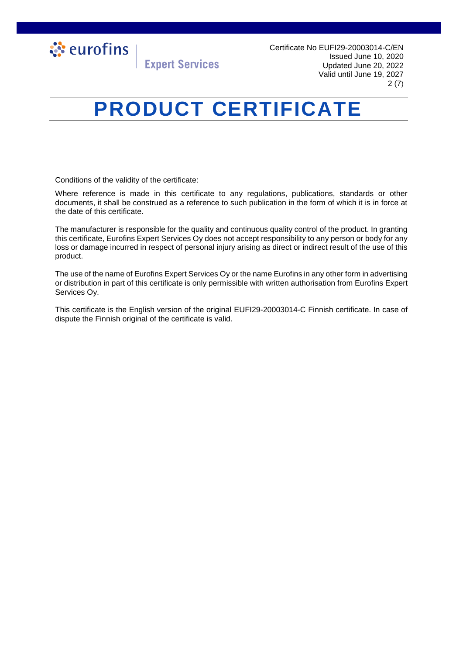

Certificate No EUFI29-20003014-C/EN Issued June 10, 2020 Updated June 20, 2022 Valid until June 19, 2027 2 (7)

### **PRODUCT CERTIFICATE**

**Expert Services** 

Conditions of the validity of the certificate:

Where reference is made in this certificate to any regulations, publications, standards or other documents, it shall be construed as a reference to such publication in the form of which it is in force at the date of this certificate.

The manufacturer is responsible for the quality and continuous quality control of the product. In granting this certificate, Eurofins Expert Services Oy does not accept responsibility to any person or body for any loss or damage incurred in respect of personal injury arising as direct or indirect result of the use of this product.

The use of the name of Eurofins Expert Services Oy or the name Eurofins in any other form in advertising or distribution in part of this certificate is only permissible with written authorisation from Eurofins Expert Services Oy.

This certificate is the English version of the original EUFI29-20003014-C Finnish certificate. In case of dispute the Finnish original of the certificate is valid.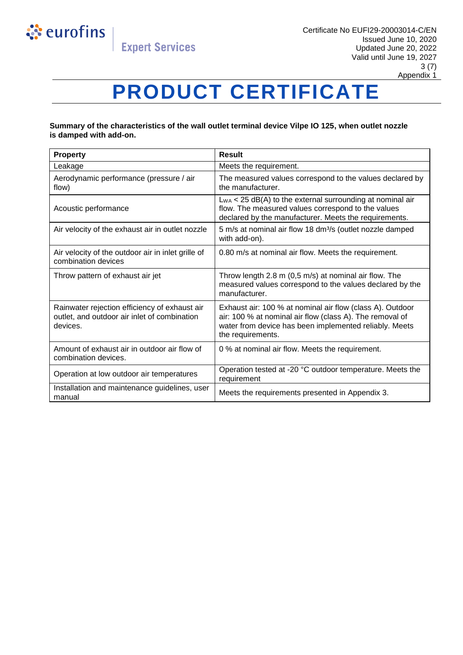

# **PRODUCT CERTIFICATE**

#### **Summary of the characteristics of the wall outlet terminal device Vilpe IO 125, when outlet nozzle is damped with add-on.**

| <b>Property</b>                                                                                           | Result                                                                                                                                                                                               |  |
|-----------------------------------------------------------------------------------------------------------|------------------------------------------------------------------------------------------------------------------------------------------------------------------------------------------------------|--|
| Leakage                                                                                                   | Meets the requirement.                                                                                                                                                                               |  |
| Aerodynamic performance (pressure / air<br>flow)                                                          | The measured values correspond to the values declared by<br>the manufacturer.                                                                                                                        |  |
| Acoustic performance                                                                                      | $L_{WA}$ < 25 dB(A) to the external surrounding at nominal air<br>flow. The measured values correspond to the values<br>declared by the manufacturer. Meets the requirements.                        |  |
| Air velocity of the exhaust air in outlet nozzle                                                          | 5 m/s at nominal air flow 18 dm <sup>3</sup> /s (outlet nozzle damped<br>with add-on).                                                                                                               |  |
| Air velocity of the outdoor air in inlet grille of<br>combination devices                                 | 0.80 m/s at nominal air flow. Meets the requirement.                                                                                                                                                 |  |
| Throw pattern of exhaust air jet                                                                          | Throw length 2.8 m (0,5 m/s) at nominal air flow. The<br>measured values correspond to the values declared by the<br>manufacturer.                                                                   |  |
| Rainwater rejection efficiency of exhaust air<br>outlet, and outdoor air inlet of combination<br>devices. | Exhaust air: 100 % at nominal air flow (class A). Outdoor<br>air: 100 % at nominal air flow (class A). The removal of<br>water from device has been implemented reliably. Meets<br>the requirements. |  |
| Amount of exhaust air in outdoor air flow of<br>combination devices.                                      | 0 % at nominal air flow. Meets the requirement.                                                                                                                                                      |  |
| Operation at low outdoor air temperatures                                                                 | Operation tested at -20 °C outdoor temperature. Meets the<br>requirement                                                                                                                             |  |
| Installation and maintenance guidelines, user<br>manual                                                   | Meets the requirements presented in Appendix 3.                                                                                                                                                      |  |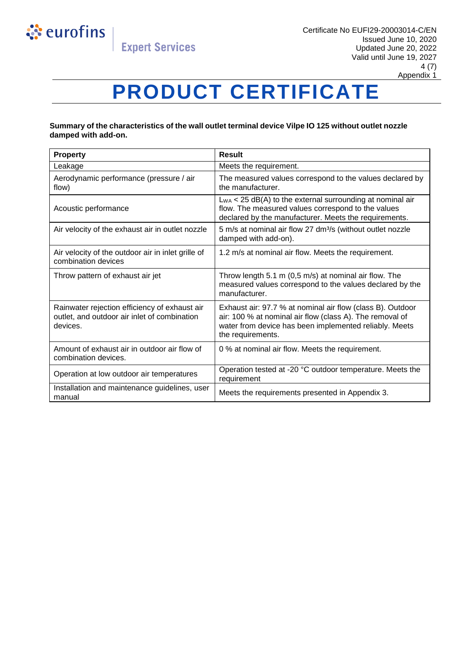

## **PRODUCT CERTIFICATE**

#### **Summary of the characteristics of the wall outlet terminal device Vilpe IO 125 without outlet nozzle damped with add-on.**

| <b>Property</b>                                                                                           | Result                                                                                                                                                                                                |  |
|-----------------------------------------------------------------------------------------------------------|-------------------------------------------------------------------------------------------------------------------------------------------------------------------------------------------------------|--|
| Leakage                                                                                                   | Meets the requirement.                                                                                                                                                                                |  |
| Aerodynamic performance (pressure / air<br>flow)                                                          | The measured values correspond to the values declared by<br>the manufacturer.                                                                                                                         |  |
| Acoustic performance                                                                                      | $L_{WA}$ < 25 dB(A) to the external surrounding at nominal air<br>flow. The measured values correspond to the values<br>declared by the manufacturer. Meets the requirements.                         |  |
| Air velocity of the exhaust air in outlet nozzle                                                          | 5 m/s at nominal air flow 27 dm <sup>3</sup> /s (without outlet nozzle<br>damped with add-on).                                                                                                        |  |
| Air velocity of the outdoor air in inlet grille of<br>combination devices                                 | 1.2 m/s at nominal air flow. Meets the requirement.                                                                                                                                                   |  |
| Throw pattern of exhaust air jet                                                                          | Throw length 5.1 m (0,5 m/s) at nominal air flow. The<br>measured values correspond to the values declared by the<br>manufacturer.                                                                    |  |
| Rainwater rejection efficiency of exhaust air<br>outlet, and outdoor air inlet of combination<br>devices. | Exhaust air: 97.7 % at nominal air flow (class B). Outdoor<br>air: 100 % at nominal air flow (class A). The removal of<br>water from device has been implemented reliably. Meets<br>the requirements. |  |
| Amount of exhaust air in outdoor air flow of<br>combination devices.                                      | 0 % at nominal air flow. Meets the requirement.                                                                                                                                                       |  |
| Operation at low outdoor air temperatures                                                                 | Operation tested at -20 °C outdoor temperature. Meets the<br>requirement                                                                                                                              |  |
| Installation and maintenance guidelines, user<br>manual                                                   | Meets the requirements presented in Appendix 3.                                                                                                                                                       |  |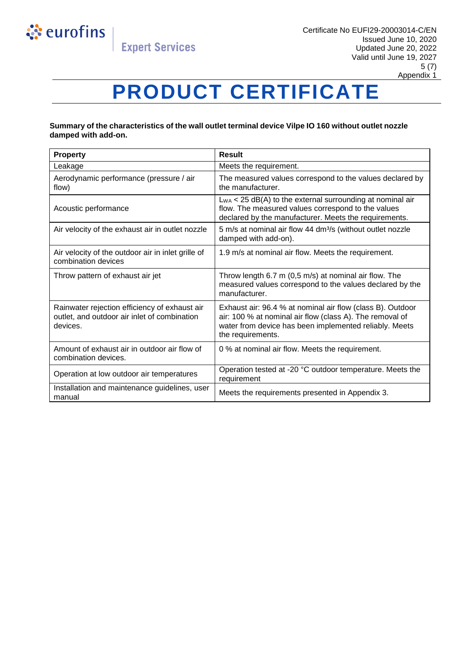

## **PRODUCT CERTIFICATE**

#### **Summary of the characteristics of the wall outlet terminal device Vilpe IO 160 without outlet nozzle damped with add-on.**

| <b>Property</b>                                                                                           | Result                                                                                                                                                                                                |  |
|-----------------------------------------------------------------------------------------------------------|-------------------------------------------------------------------------------------------------------------------------------------------------------------------------------------------------------|--|
| Leakage                                                                                                   | Meets the requirement.                                                                                                                                                                                |  |
| Aerodynamic performance (pressure / air<br>flow)                                                          | The measured values correspond to the values declared by<br>the manufacturer.                                                                                                                         |  |
| Acoustic performance                                                                                      | $L_{WA}$ < 25 dB(A) to the external surrounding at nominal air<br>flow. The measured values correspond to the values<br>declared by the manufacturer. Meets the requirements.                         |  |
| Air velocity of the exhaust air in outlet nozzle                                                          | 5 m/s at nominal air flow 44 dm <sup>3</sup> /s (without outlet nozzle<br>damped with add-on).                                                                                                        |  |
| Air velocity of the outdoor air in inlet grille of<br>combination devices                                 | 1.9 m/s at nominal air flow. Meets the requirement.                                                                                                                                                   |  |
| Throw pattern of exhaust air jet                                                                          | Throw length 6.7 m (0,5 m/s) at nominal air flow. The<br>measured values correspond to the values declared by the<br>manufacturer.                                                                    |  |
| Rainwater rejection efficiency of exhaust air<br>outlet, and outdoor air inlet of combination<br>devices. | Exhaust air: 96.4 % at nominal air flow (class B). Outdoor<br>air: 100 % at nominal air flow (class A). The removal of<br>water from device has been implemented reliably. Meets<br>the requirements. |  |
| Amount of exhaust air in outdoor air flow of<br>combination devices.                                      | 0 % at nominal air flow. Meets the requirement.                                                                                                                                                       |  |
| Operation at low outdoor air temperatures                                                                 | Operation tested at -20 °C outdoor temperature. Meets the<br>requirement                                                                                                                              |  |
| Installation and maintenance guidelines, user<br>manual                                                   | Meets the requirements presented in Appendix 3.                                                                                                                                                       |  |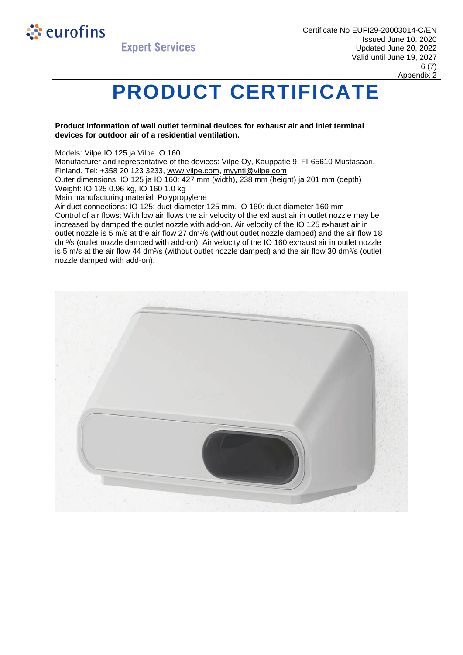

### **PRODUCT CERTIFICATE**

#### **Product information of wall outlet terminal devices for exhaust air and inlet terminal devices for outdoor air of a residential ventilation.**

Models: Vilpe IO 125 ja Vilpe IO 160

Manufacturer and representative of the devices: Vilpe Oy, Kauppatie 9, FI-65610 Mustasaari, Finland. Tel: +358 20 123 3233, [www.vilpe.com,](https://www.vilpe.com/) [myynti@vilpe.com](mailto:myynti@vilpe.com)

Outer dimensions: IO 125 ja IO 160: 427 mm (width), 238 mm (height) ja 201 mm (depth) Weight: IO 125 0.96 kg, IO 160 1.0 kg

Main manufacturing material: Polypropylene

Air duct connections: IO 125: duct diameter 125 mm, IO 160: duct diameter 160 mm Control of air flows: With low air flows the air velocity of the exhaust air in outlet nozzle may be increased by damped the outlet nozzle with add-on. Air velocity of the IO 125 exhaust air in outlet nozzle is 5 m/s at the air flow 27 dm<sup>3</sup>/s (without outlet nozzle damped) and the air flow 18 dm<sup>3</sup>/s (outlet nozzle damped with add-on). Air velocity of the IO 160 exhaust air in outlet nozzle is 5 m/s at the air flow 44 dm $\frac{3}{s}$  (without outlet nozzle damped) and the air flow 30 dm $\frac{3}{s}$  (outlet nozzle damped with add-on).